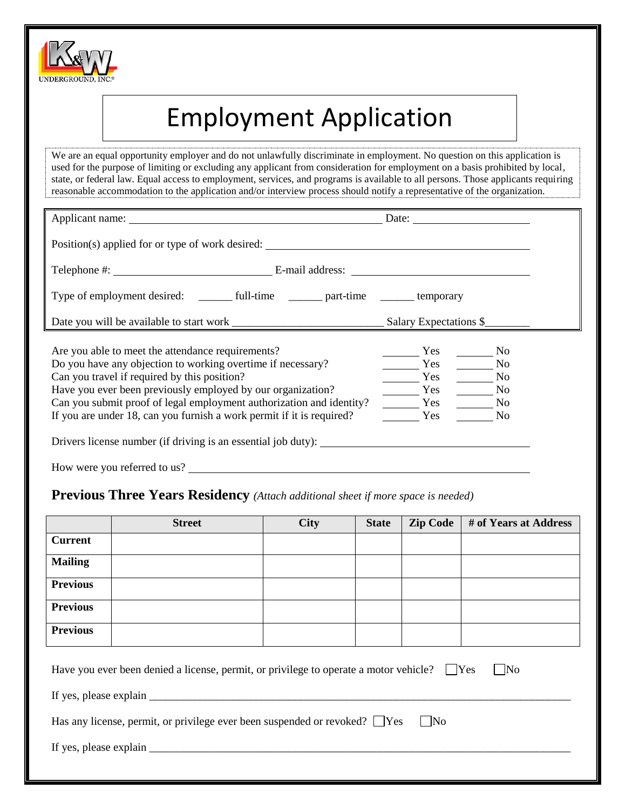

# Employment Application

We are an equal opportunity employer and do not unlawfully discriminate in employment. No question on this application is used for the purpose of limiting or excluding any applicant from consideration for employment on a basis prohibited by local, state, or federal law. Equal access to employment, services, and programs is available to all persons. Those applicants requiring reasonable accommodation to the application and/or interview process should notify a representative of the organization.

|                                                                                  | Date: $\qquad \qquad$ |                |
|----------------------------------------------------------------------------------|-----------------------|----------------|
| Position(s) applied for or type of work desired:                                 |                       |                |
|                                                                                  |                       |                |
|                                                                                  |                       |                |
|                                                                                  |                       |                |
|                                                                                  |                       |                |
| Are you able to meet the attendance requirements?                                | Yes No                |                |
| Do you have any objection to working overtime if necessary?                      | Yes No                |                |
| Can you travel if required by this position?                                     | <b>Solution</b> Yes   | N <sub>o</sub> |
| Have you ever been previously employed by our organization?                      | Yes                   | N <sub>0</sub> |
| Can you submit proof of legal employment authorization and identity?             | Yes                   | N <sub>0</sub> |
| If you are under 18, can you furnish a work permit if it is required?            | <b>Solution</b> Yes   | N <sub>o</sub> |
| Drivers license number (if driving is an essential job duty): __________________ |                       |                |

How were you referred to us?

#### **Previous Three Years Residency** *(Attach additional sheet if more space is needed)*

|                                                                                                                                                                                                          | <b>Street</b> | <b>City</b> | <b>State</b> | <b>Zip Code</b> | # of Years at Address |
|----------------------------------------------------------------------------------------------------------------------------------------------------------------------------------------------------------|---------------|-------------|--------------|-----------------|-----------------------|
| <b>Current</b>                                                                                                                                                                                           |               |             |              |                 |                       |
| <b>Mailing</b>                                                                                                                                                                                           |               |             |              |                 |                       |
| <b>Previous</b>                                                                                                                                                                                          |               |             |              |                 |                       |
| <b>Previous</b>                                                                                                                                                                                          |               |             |              |                 |                       |
| <b>Previous</b>                                                                                                                                                                                          |               |             |              |                 |                       |
| $\vert$ No<br>Have you ever been denied a license, permit, or privilege to operate a motor vehicle? See<br>$\Box$ No<br>Has any license, permit, or privilege ever been suspended or revoked? $\Box$ Yes |               |             |              |                 |                       |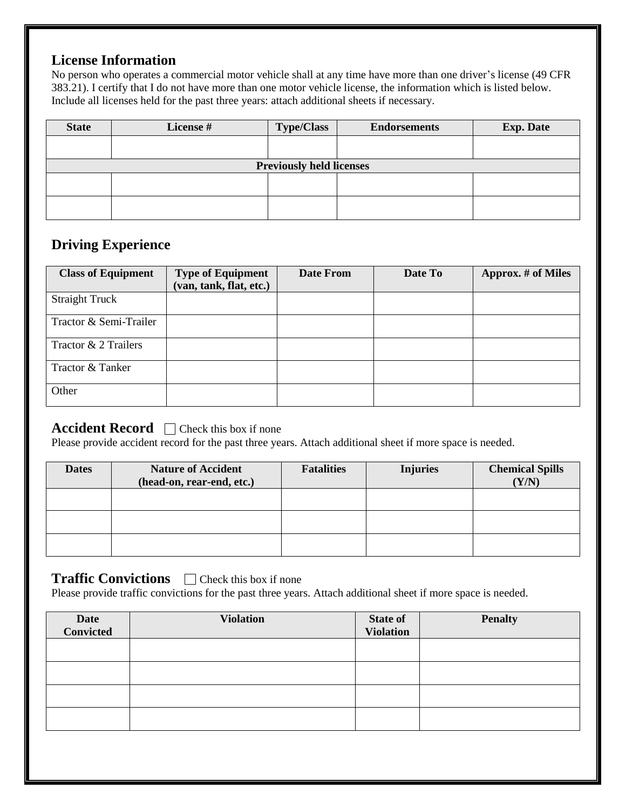## **License Information**

No person who operates a commercial motor vehicle shall at any time have more than one driver's license (49 CFR 383.21). I certify that I do not have more than one motor vehicle license, the information which is listed below. Include all licenses held for the past three years: attach additional sheets if necessary.

| <b>State</b> | License # | <b>Type/Class</b>               | <b>Endorsements</b> | <b>Exp. Date</b> |
|--------------|-----------|---------------------------------|---------------------|------------------|
|              |           |                                 |                     |                  |
|              |           | <b>Previously held licenses</b> |                     |                  |
|              |           |                                 |                     |                  |
|              |           |                                 |                     |                  |

#### **Driving Experience**

| <b>Class of Equipment</b> | <b>Type of Equipment</b> | <b>Date From</b> | Date To | <b>Approx.</b> # of Miles |
|---------------------------|--------------------------|------------------|---------|---------------------------|
|                           | (van, tank, flat, etc.)  |                  |         |                           |
| <b>Straight Truck</b>     |                          |                  |         |                           |
| Tractor & Semi-Trailer    |                          |                  |         |                           |
| Tractor & 2 Trailers      |                          |                  |         |                           |
| Tractor & Tanker          |                          |                  |         |                           |
| Other                     |                          |                  |         |                           |

## **Accident Record**  $\Box$  Check this box if none

Please provide accident record for the past three years. Attach additional sheet if more space is needed.

| <b>Dates</b> | <b>Nature of Accident</b><br>(head-on, rear-end, etc.) | <b>Fatalities</b> | <b>Injuries</b> | <b>Chemical Spills</b><br>(Y/N) |
|--------------|--------------------------------------------------------|-------------------|-----------------|---------------------------------|
|              |                                                        |                   |                 |                                 |
|              |                                                        |                   |                 |                                 |
|              |                                                        |                   |                 |                                 |

#### **Traffic Convictions**  $\Box$  Check this box if none

Please provide traffic convictions for the past three years. Attach additional sheet if more space is needed.

| Date<br>Convicted | <b>Violation</b> | <b>State of</b><br><b>Violation</b> | <b>Penalty</b> |
|-------------------|------------------|-------------------------------------|----------------|
|                   |                  |                                     |                |
|                   |                  |                                     |                |
|                   |                  |                                     |                |
|                   |                  |                                     |                |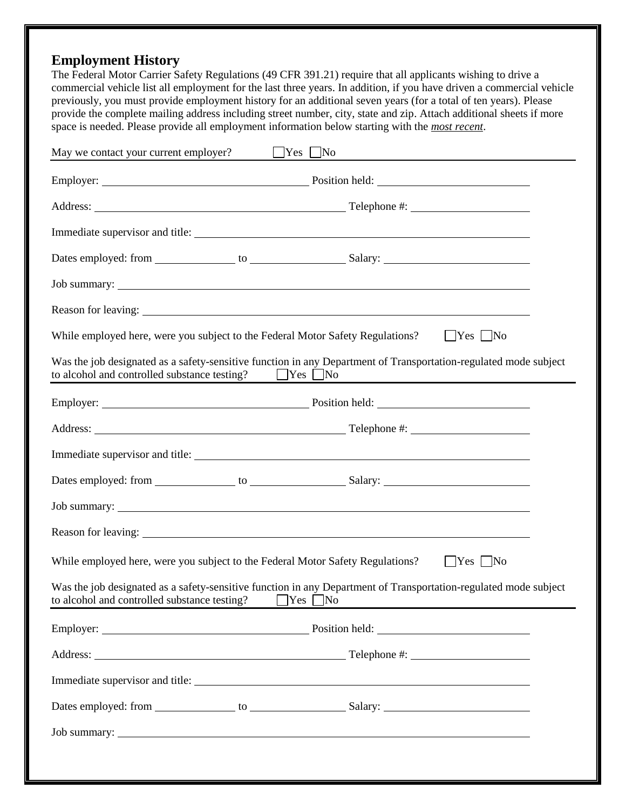# **Employment History**

The Federal Motor Carrier Safety Regulations (49 CFR 391.21) require that all applicants wishing to drive a commercial vehicle list all employment for the last three years. In addition, if you have driven a commercial vehicle previously, you must provide employment history for an additional seven years (for a total of ten years). Please provide the complete mailing address including street number, city, state and zip. Attach additional sheets if more space is needed. Please provide all employment information below starting with the *most recent*.

| May we contact your current employer?                                          | $Yes$ No                                                                                                         |
|--------------------------------------------------------------------------------|------------------------------------------------------------------------------------------------------------------|
|                                                                                |                                                                                                                  |
|                                                                                |                                                                                                                  |
|                                                                                |                                                                                                                  |
|                                                                                |                                                                                                                  |
|                                                                                |                                                                                                                  |
|                                                                                |                                                                                                                  |
| While employed here, were you subject to the Federal Motor Safety Regulations? | $Yes$ No                                                                                                         |
| to alcohol and controlled substance testing? $\Box$ Yes $\Box$ No              | Was the job designated as a safety-sensitive function in any Department of Transportation-regulated mode subject |
|                                                                                | Employer: Position held:                                                                                         |
|                                                                                |                                                                                                                  |
|                                                                                |                                                                                                                  |
|                                                                                |                                                                                                                  |
|                                                                                | Job summary:                                                                                                     |
|                                                                                |                                                                                                                  |
| While employed here, were you subject to the Federal Motor Safety Regulations? | $Yes$ No                                                                                                         |
| to alcohol and controlled substance testing? $\Box$ Yes $\Box$ No              | Was the job designated as a safety-sensitive function in any Department of Transportation-regulated mode subject |
|                                                                                |                                                                                                                  |
|                                                                                |                                                                                                                  |
|                                                                                |                                                                                                                  |
|                                                                                |                                                                                                                  |
|                                                                                |                                                                                                                  |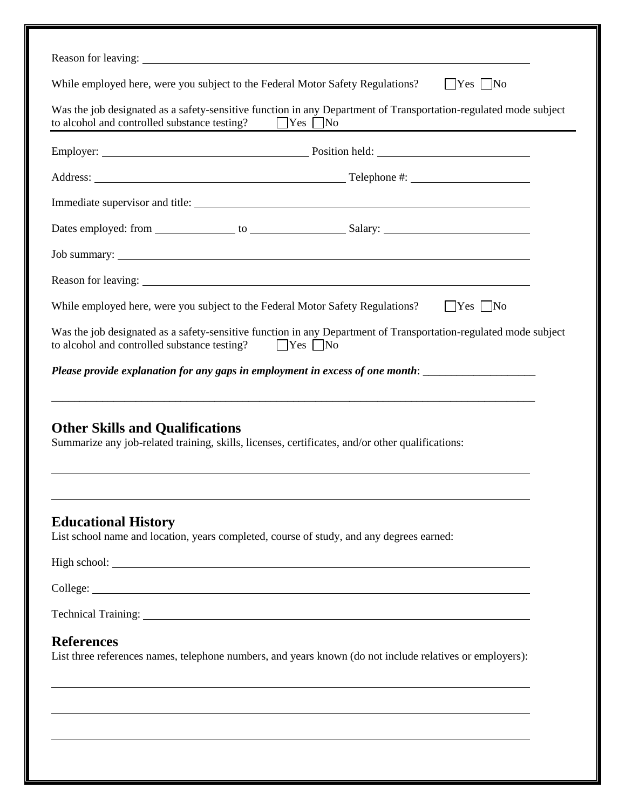| While employed here, were you subject to the Federal Motor Safety Regulations?                                                                                                                                                 |                                                                                  | $ $ Yes $ $ No                                                  |
|--------------------------------------------------------------------------------------------------------------------------------------------------------------------------------------------------------------------------------|----------------------------------------------------------------------------------|-----------------------------------------------------------------|
| Was the job designated as a safety-sensitive function in any Department of Transportation-regulated mode subject<br>to alcohol and controlled substance testing?                                                               | $\Box$ Yes $\Box$ No                                                             | <u> 1980 - Johann Barn, mars an t-Amerikaansk kommunister (</u> |
|                                                                                                                                                                                                                                |                                                                                  |                                                                 |
|                                                                                                                                                                                                                                |                                                                                  |                                                                 |
|                                                                                                                                                                                                                                |                                                                                  |                                                                 |
|                                                                                                                                                                                                                                |                                                                                  |                                                                 |
|                                                                                                                                                                                                                                |                                                                                  |                                                                 |
| Reason for leaving: 1988 and 2008 and 2008 and 2008 and 2008 and 2008 and 2008 and 2008 and 2008 and 2008 and 2008 and 2008 and 2008 and 2008 and 2008 and 2008 and 2008 and 2008 and 2008 and 2008 and 2008 and 2008 and 2008 |                                                                                  |                                                                 |
| While employed here, were you subject to the Federal Motor Safety Regulations?                                                                                                                                                 |                                                                                  | $\Box$ Yes $\Box$ No                                            |
| Was the job designated as a safety-sensitive function in any Department of Transportation-regulated mode subject<br>to alcohol and controlled substance testing?                                                               | $\Box$ Yes $\Box$ No                                                             |                                                                 |
| Please provide explanation for any gaps in employment in excess of one month:                                                                                                                                                  |                                                                                  |                                                                 |
| <b>Other Skills and Qualifications</b><br>Summarize any job-related training, skills, licenses, certificates, and/or other qualifications:                                                                                     |                                                                                  |                                                                 |
| <b>Educational History</b><br>List school name and location, years completed, course of study, and any degrees earned:                                                                                                         |                                                                                  |                                                                 |
|                                                                                                                                                                                                                                |                                                                                  |                                                                 |
|                                                                                                                                                                                                                                |                                                                                  |                                                                 |
|                                                                                                                                                                                                                                |                                                                                  |                                                                 |
| <b>References</b><br>List three references names, telephone numbers, and years known (do not include relatives or employers):                                                                                                  |                                                                                  |                                                                 |
|                                                                                                                                                                                                                                |                                                                                  |                                                                 |
|                                                                                                                                                                                                                                | ,我们也不会有什么。""我们的人,我们也不会有什么?""我们的人,我们也不会有什么?""我们的人,我们也不会有什么?""我们的人,我们也不会有什么?""我们的人 |                                                                 |